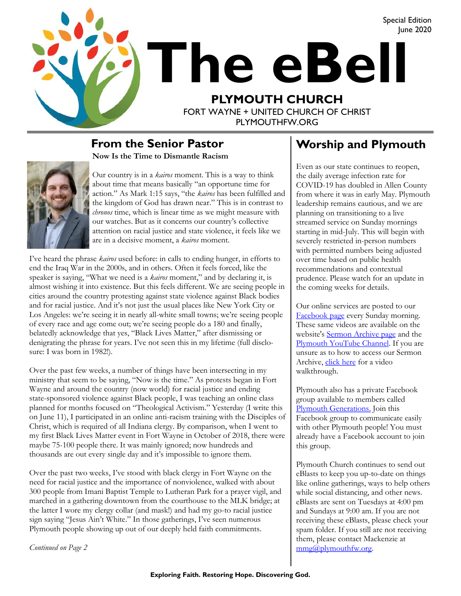

#### **From the Senior Pastor**

**Now Is the Time to Dismantle Racism**



Our country is in a *kairos* moment. This is a way to think about time that means basically "an opportune time for action." As Mark 1:15 says, "the *kairos* has been fulfilled and the kingdom of God has drawn near." This is in contrast to *chronos* time, which is linear time as we might measure with our watches. But as it concerns our country's collective attention on racial justice and state violence, it feels like we are in a decisive moment, a *kairos* moment.

I've heard the phrase *kairos* used before: in calls to ending hunger, in efforts to end the Iraq War in the 2000s, and in others. Often it feels forced, like the speaker is saying, "What we need is a *kairos* moment," and by declaring it, is almost wishing it into existence. But this feels different. We are seeing people in cities around the country protesting against state violence against Black bodies and for racial justice. And it's not just the usual places like New York City or Los Angeles: we're seeing it in nearly all-white small towns; we're seeing people of every race and age come out; we're seeing people do a 180 and finally, belatedly acknowledge that yes, "Black Lives Matter," after dismissing or denigrating the phrase for years. I've not seen this in my lifetime (full disclosure: I was born in 1982!).

Over the past few weeks, a number of things have been intersecting in my ministry that seem to be saying, "Now is the time." As protests began in Fort Wayne and around the country (now world) for racial justice and ending state-sponsored violence against Black people, I was teaching an online class planned for months focused on "Theological Activism." Yesterday (I write this on June 11), I participated in an online anti-racism training with the Disciples of Christ, which is required of all Indiana clergy. By comparison, when I went to my first Black Lives Matter event in Fort Wayne in October of 2018, there were maybe 75-100 people there. It was mainly ignored; now hundreds and thousands are out every single day and it's impossible to ignore them.

Over the past two weeks, I've stood with black clergy in Fort Wayne on the need for racial justice and the importance of nonviolence, walked with about 300 people from Imani Baptist Temple to Lutheran Park for a prayer vigil, and marched in a gathering downtown from the courthouse to the MLK bridge; at the latter I wore my clergy collar (and mask!) and had my go-to racial justice sign saying "Jesus Ain't White." In those gatherings, I've seen numerous Plymouth people showing up out of our deeply held faith commitments.

*Continued on Page 2*

#### **Worship and Plymouth**

Even as our state continues to reopen, the daily average infection rate for COVID-19 has doubled in Allen County from where it was in early May. Plymouth leadership remains cautious, and we are planning on transitioning to a live streamed service on Sunday mornings starting in mid-July. This will begin with severely restricted in-person numbers with permitted numbers being adjusted over time based on public health recommendations and contextual prudence. Please watch for an update in the coming weeks for details.

Our online services are posted to our [Facebook page](fb.com/plymouthfw) every Sunday morning. These same videos are available on the website's **[Sermon Archive page](https://www.plymouthfw.org/sermon-archive)** and the [Plymouth YouTube Channel.](https://www.youtube.com/plymouthchurchfw) If you are unsure as to how to access our Sermon Archive, [click here](https://www.youtube.com/watch?v=R-19CfTmDeA) for a video walkthrough.

Plymouth also has a private Facebook group available to members called [Plymouth Generations.](https://www.facebook.com/groups/1487066224952817/) Join this Facebook group to communicate easily with other Plymouth people! You must already have a Facebook account to join this group.

Plymouth Church continues to send out eBlasts to keep you up-to-date on things like online gatherings, ways to help others while social distancing, and other news. eBlasts are sent on Tuesdays at 4:00 pm and Sundays at 9:00 am. If you are not receiving these eBlasts, please check your spam folder. If you still are not receiving them, please contact Mackenzie at  $mmg(\omega)$  plymouth fw.org.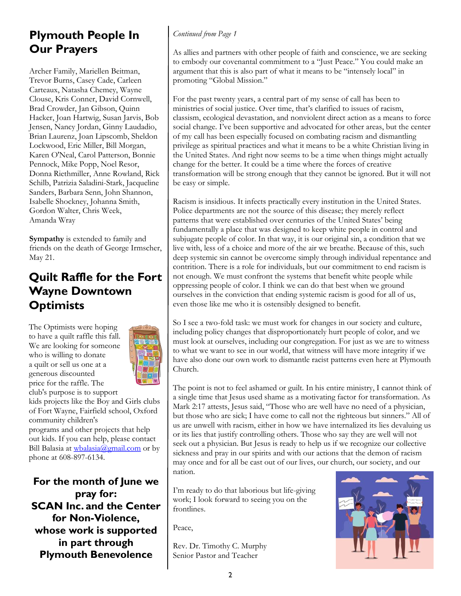#### **Plymouth People In Our Prayers**

Archer Family, Mariellen Beitman, Trevor Burns, Casey Cade, Carleen Carteaux, Natasha Chemey, Wayne Clouse, Kris Conner, David Cornwell, Brad Crowder, Jan Gibson, Quinn Hacker, Joan Hartwig, Susan Jarvis, Bob Jensen, Nancy Jordan, Ginny Laudadio, Brian Laurenz, Joan Lipscomb, Sheldon Lockwood, Eric Miller, Bill Morgan, Karen O'Neal, Carol Patterson, Bonnie Pennock, Mike Popp, Noel Resor, Donna Riethmiller, Anne Rowland, Rick Schilb, Patrizia Saladini-Stark, Jacqueline Sanders, Barbara Senn, John Shannon, Isabelle Shockney, Johanna Smith, Gordon Walter, Chris Week, Amanda Wray

**Sympathy** is extended to family and friends on the death of George Irmscher, May 21.

#### **Quilt Raffle for the Fort Wayne Downtown Optimists**

The Optimists were hoping to have a quilt raffle this fall. We are looking for someone who is willing to donate a quilt or sell us one at a generous discounted price for the raffle. The club's purpose is to support

phone at 608-897-6134.



kids projects like the Boy and Girls clubs of Fort Wayne, Fairfield school, Oxford community children's programs and other projects that help out kids. If you can help, please contact Bill Balasia at [wbalasia@gmail.com](mailto:wbalasia@gmail.com) or by

**For the month of June we pray for: SCAN Inc. and the Center for Non-Violence, whose work is supported in part through Plymouth Benevolence**

#### *Continued from Page 1*

As allies and partners with other people of faith and conscience, we are seeking to embody our covenantal commitment to a "Just Peace." You could make an argument that this is also part of what it means to be "intensely local" in promoting "Global Mission."

For the past twenty years, a central part of my sense of call has been to ministries of social justice. Over time, that's clarified to issues of racism, classism, ecological devastation, and nonviolent direct action as a means to force social change. I've been supportive and advocated for other areas, but the center of my call has been especially focused on combating racism and dismantling privilege as spiritual practices and what it means to be a white Christian living in the United States. And right now seems to be a time when things might actually change for the better. It could be a time where the forces of creative transformation will be strong enough that they cannot be ignored. But it will not be easy or simple.

Racism is insidious. It infects practically every institution in the United States. Police departments are not the source of this disease; they merely reflect patterns that were established over centuries of the United States' being fundamentally a place that was designed to keep white people in control and subjugate people of color. In that way, it is our original sin, a condition that we live with, less of a choice and more of the air we breathe. Because of this, such deep systemic sin cannot be overcome simply through individual repentance and contrition. There is a role for individuals, but our commitment to end racism is not enough. We must confront the systems that benefit white people while oppressing people of color. I think we can do that best when we ground ourselves in the conviction that ending systemic racism is good for all of us, even those like me who it is ostensibly designed to benefit.

So I see a two-fold task: we must work for changes in our society and culture, including policy changes that disproportionately hurt people of color, and we must look at ourselves, including our congregation. For just as we are to witness to what we want to see in our world, that witness will have more integrity if we have also done our own work to dismantle racist patterns even here at Plymouth Church.

The point is not to feel ashamed or guilt. In his entire ministry, I cannot think of a single time that Jesus used shame as a motivating factor for transformation. As Mark 2:17 attests, Jesus said, "Those who are well have no need of a physician, but those who are sick; I have come to call not the righteous but sinners." All of us are unwell with racism, either in how we have internalized its lies devaluing us or its lies that justify controlling others. Those who say they are well will not seek out a physician. But Jesus is ready to help us if we recognize our collective sickness and pray in our spirits and with our actions that the demon of racism may once and for all be cast out of our lives, our church, our society, and our nation.

I'm ready to do that laborious but life-giving work; I look forward to seeing you on the frontlines.

Peace,

Rev. Dr. Timothy C. Murphy Senior Pastor and Teacher

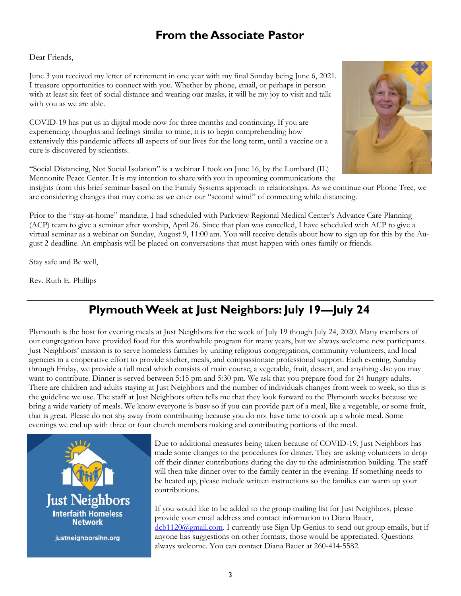#### **From the Associate Pastor**

Dear Friends,

June 3 you received my letter of retirement in one year with my final Sunday being June 6, 2021. I treasure opportunities to connect with you. Whether by phone, email, or perhaps in person with at least six feet of social distance and wearing our masks, it will be my joy to visit and talk with you as we are able.

COVID-19 has put us in digital mode now for three months and continuing. If you are experiencing thoughts and feelings similar to mine, it is to begin comprehending how extensively this pandemic affects all aspects of our lives for the long term, until a vaccine or a cure is discovered by scientists.

"Social Distancing, Not Social Isolation" is a webinar I took on June 16, by the Lombard (IL) Mennonite Peace Center. It is my intention to share with you in upcoming communications the



insights from this brief seminar based on the Family Systems approach to relationships. As we continue our Phone Tree, we are considering changes that may come as we enter our "second wind" of connecting while distancing.

Prior to the "stay-at-home" mandate, I had scheduled with Parkview Regional Medical Center's Advance Care Planning (ACP) team to give a seminar after worship, April 26. Since that plan was cancelled, I have scheduled with ACP to give a virtual seminar as a webinar on Sunday, August 9, 11:00 am. You will receive details about how to sign up for this by the August 2 deadline. An emphasis will be placed on conversations that must happen with ones family or friends.

Stay safe and Be well,

Rev. Ruth E. Phillips

#### **Plymouth Week at Just Neighbors: July 19—July 24**

Plymouth is the host for evening meals at Just Neighbors for the week of July 19 though July 24, 2020. Many members of our congregation have provided food for this worthwhile program for many years, but we always welcome new participants. Just Neighbors' mission is to serve homeless families by uniting religious congregations, community volunteers, and local agencies in a cooperative effort to provide shelter, meals, and compassionate professional support. Each evening, Sunday through Friday, we provide a full meal which consists of main course, a vegetable, fruit, dessert, and anything else you may want to contribute. Dinner is served between 5:15 pm and 5:30 pm. We ask that you prepare food for 24 hungry adults. There are children and adults staying at Just Neighbors and the number of individuals changes from week to week, so this is the guideline we use. The staff at Just Neighbors often tells me that they look forward to the Plymouth weeks because we bring a wide variety of meals. We know everyone is busy so if you can provide part of a meal, like a vegetable, or some fruit, that is great. Please do not shy away from contributing because you do not have time to cook up a whole meal. Some evenings we end up with three or four church members making and contributing portions of the meal.



Due to additional measures being taken because of COVID-19, Just Neighbors has made some changes to the procedures for dinner. They are asking volunteers to drop off their dinner contributions during the day to the administration building. The staff will then take dinner over to the family center in the evening. If something needs to be heated up, please include written instructions so the families can warm up your contributions.

If you would like to be added to the group mailing list for Just Neighbors, please provide your email address and contact information to Diana Bauer, [dcb1120@gmail.com.](mailto:dcb1120@gmail.com) I currently use Sign Up Genius to send out group emails, but if anyone has suggestions on other formats, those would be appreciated. Questions always welcome. You can contact Diana Bauer at 260-414-5582.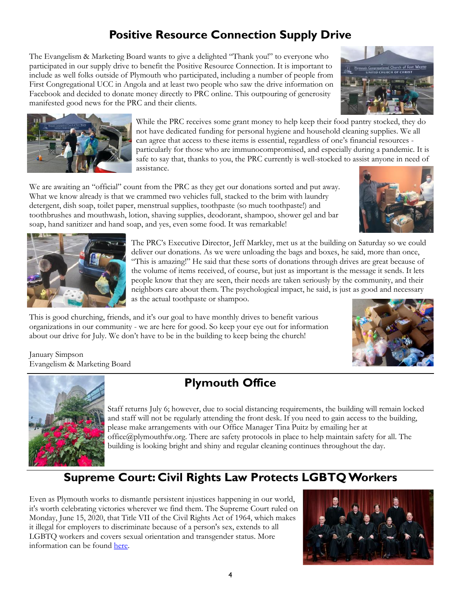## **Positive Resource Connection Supply Drive**

The Evangelism & Marketing Board wants to give a delighted "Thank you!" to everyone who participated in our supply drive to benefit the Positive Resource Connection. It is important to include as well folks outside of Plymouth who participated, including a number of people from First Congregational UCC in Angola and at least two people who saw the drive information on Facebook and decided to donate money directly to PRC online. This outpouring of generosity manifested good news for the PRC and their clients.





While the PRC receives some grant money to help keep their food pantry stocked, they do not have dedicated funding for personal hygiene and household cleaning supplies. We all can agree that access to these items is essential, regardless of one's financial resources particularly for those who are immunocompromised, and especially during a pandemic. It is safe to say that, thanks to you, the PRC currently is well-stocked to assist anyone in need of assistance.

We are awaiting an "official" count from the PRC as they get our donations sorted and put away. What we know already is that we crammed two vehicles full, stacked to the brim with laundry detergent, dish soap, toilet paper, menstrual supplies, toothpaste (so much toothpaste!) and toothbrushes and mouthwash, lotion, shaving supplies, deodorant, shampoo, shower gel and bar soap, hand sanitizer and hand soap, and yes, even some food. It was remarkable!





The PRC's Executive Director, Jeff Markley, met us at the building on Saturday so we could deliver our donations. As we were unloading the bags and boxes, he said, more than once, "This is amazing!" He said that these sorts of donations through drives are great because of the volume of items received, of course, but just as important is the message it sends. It lets people know that they are seen, their needs are taken seriously by the community, and their neighbors care about them. The psychological impact, he said, is just as good and necessary as the actual toothpaste or shampoo.

This is good churching, friends, and it's our goal to have monthly drives to benefit various organizations in our community - we are here for good. So keep your eye out for information about our drive for July. We don't have to be in the building to keep being the church!



January Simpson Evangelism & Marketing Board

## **Plymouth Office**

Staff returns July 6; however, due to social distancing requirements, the building will remain locked and staff will not be regularly attending the front desk. If you need to gain access to the building, please make arrangements with our Office Manager Tina Puitz by emailing her at office@plymouthfw.org. There are safety protocols in place to help maintain safety for all. The building is looking bright and shiny and regular cleaning continues throughout the day.

#### **Supreme Court: Civil Rights Law Protects LGBTQ Workers**

Even as Plymouth works to dismantle persistent injustices happening in our world, it's worth celebrating victories wherever we find them. The Supreme Court ruled on Monday, June 15, 2020, that Title VII of the Civil Rights Act of 1964, which makes it illegal for employers to discriminate because of a person's sex, extends to all LGBTQ workers and covers sexual orientation and transgender status. More information can be found [here.](https://www.nbcnews.com/politics/supreme-court/supreme-court-rules-existing-civil-rights-law-protects-gay-lesbian-n1231018?fbclid=IwAR29wFWZr65_53rZrafe7XZq8ddJ1OtMG00nfmVZ9Dd4wNglw4qz_xKhsDU)

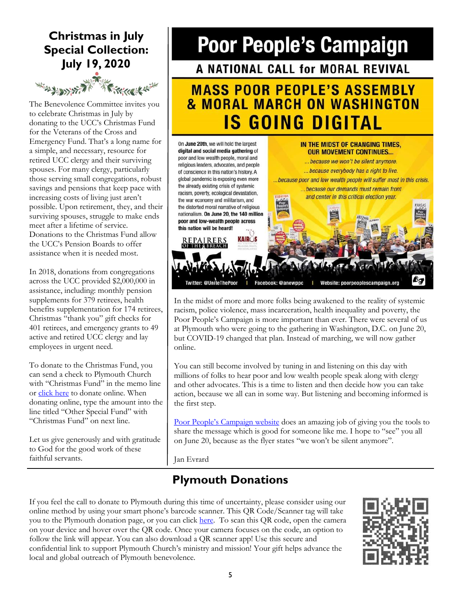#### **Christmas in July Special Collection: July 19, 2020**



The Benevolence Committee invites you to celebrate Christmas in July by donating to the UCC's Christmas Fund for the Veterans of the Cross and Emergency Fund. That's a long name for a simple, and necessary, resource for retired UCC clergy and their surviving spouses. For many clergy, particularly those serving small congregations, robust savings and pensions that keep pace with increasing costs of living just aren't possible. Upon retirement, they, and their surviving spouses, struggle to make ends meet after a lifetime of service. Donations to the Christmas Fund allow the UCC's Pension Boards to offer assistance when it is needed most.

In 2018, donations from congregations across the UCC provided \$2,000,000 in assistance, including: monthly pension supplements for 379 retirees, health benefits supplementation for 174 retirees, Christmas "thank you" gift checks for 401 retirees, and emergency grants to 49 active and retired UCC clergy and lay employees in urgent need.

To donate to the Christmas Fund, you can send a check to Plymouth Church with "Christmas Fund" in the memo line or [click here](https://www.eservicepayments.com/cgi-bin/Vanco_ver3.vps?appver3=wWsk24ZWJSTZKsGd1RMKlg0BDvsSG3VIWQCPJNNxD8upkiY7JlDavDsozUE7KG0nFx2NSo8LdUKGuGuF396vbVaiPstRo5nGq-DzvnYb662XHubq5Z7ap5JVmPErc4ZeYHCKCZhESjGNQmZ5B-6dx2HOd3DsUXzGmTYEh8VU7JU=&ver=3) to donate online. When donating online, type the amount into the line titled "Other Special Fund" with "Christmas Fund" on next line.

Let us give generously and with gratitude to God for the good work of these faithful servants.

# **Poor People's Campaign**

A NATIONAL CALL for MORAL REVIVAL

# **MASS POOR PEOPLE'S ASSEMBLY & MORAL MARCH ON WASHINGTON IS GOING DIGITAL**



In the midst of more and more folks being awakened to the reality of systemic racism, police violence, mass incarceration, health inequality and poverty, the Poor People's Campaign is more important than ever. There were several of us at Plymouth who were going to the gathering in Washington, D.C. on June 20, but COVID-19 changed that plan. Instead of marching, we will now gather online.

You can still become involved by tuning in and listening on this day with millions of folks to hear poor and low wealth people speak along with clergy and other advocates. This is a time to listen and then decide how you can take action, because we all can in some way. But listening and becoming informed is the first step.

[Poor People's Campaign website](http://www.poorpeoplescampaign.org/) does an amazing job of giving you the tools to share the message which is good for someone like me. I hope to "see" you all on June 20, because as the flyer states "we won't be silent anymore".

Jan Evrard

#### **Plymouth Donations**

If you feel the call to donate to Plymouth during this time of uncertainty, please consider using our online method by using your smart phone's barcode scanner. This QR Code/Scanner tag will take you to the Plymouth donation page, or you can click [here.](https://www.eservicepayments.com/cgi-bin/Vanco_ver3.vps?appver3=wWsk24ZWJSTZKsGd1RMKlg0BDvsSG3VIWQCPJNNxD8upkiY7JlDavDsozUE7KG0nFx2NSo8LdUKGuGuF396vbVaiPstRo5nGq-DzvnYb662XHubq5Z7ap5JVmPErc4ZeYHCKCZhESjGNQmZ5B-6dx2HOd3DsUXzGmTYEh8VU7JU=&ver=3) To scan this QR code, open the camera on your device and hover over the QR code. Once your camera focuses on the code, an option to follow the link will appear. You can also download a QR scanner app! Use this secure and confidential link to support Plymouth Church's ministry and mission! Your gift helps advance the local and global outreach of Plymouth benevolence.

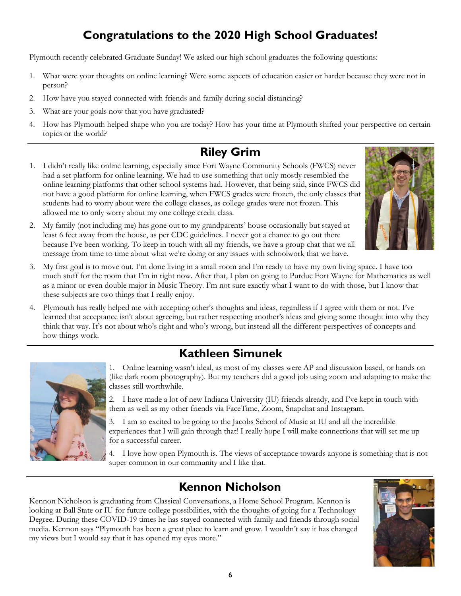#### **Congratulations to the 2020 High School Graduates!**

Plymouth recently celebrated Graduate Sunday! We asked our high school graduates the following questions:

- 1. What were your thoughts on online learning? Were some aspects of education easier or harder because they were not in person?
- 2. How have you stayed connected with friends and family during social distancing?
- 3. What are your goals now that you have graduated?
- 4. How has Plymouth helped shape who you are today? How has your time at Plymouth shifted your perspective on certain topics or the world?

## **Riley Grim**

1. I didn't really like online learning, especially since Fort Wayne Community Schools (FWCS) never had a set platform for online learning. We had to use something that only mostly resembled the online learning platforms that other school systems had. However, that being said, since FWCS did not have a good platform for online learning, when FWCS grades were frozen, the only classes that students had to worry about were the college classes, as college grades were not frozen. This allowed me to only worry about my one college credit class.



- 2. My family (not including me) has gone out to my grandparents' house occasionally but stayed at least 6 feet away from the house, as per CDC guidelines. I never got a chance to go out there because I've been working. To keep in touch with all my friends, we have a group chat that we all message from time to time about what we're doing or any issues with schoolwork that we have.
- 3. My first goal is to move out. I'm done living in a small room and I'm ready to have my own living space. I have too much stuff for the room that I'm in right now. After that, I plan on going to Purdue Fort Wayne for Mathematics as well as a minor or even double major in Music Theory. I'm not sure exactly what I want to do with those, but I know that these subjects are two things that I really enjoy.
- 4. Plymouth has really helped me with accepting other's thoughts and ideas, regardless if I agree with them or not. I've learned that acceptance isn't about agreeing, but rather respecting another's ideas and giving some thought into why they think that way. It's not about who's right and who's wrong, but instead all the different perspectives of concepts and how things work.

#### **Kathleen Simunek**



1. Online learning wasn't ideal, as most of my classes were AP and discussion based, or hands on (like dark room photography). But my teachers did a good job using zoom and adapting to make the classes still worthwhile.

2. I have made a lot of new Indiana University (IU) friends already, and I've kept in touch with them as well as my other friends via FaceTime, Zoom, Snapchat and Instagram.

3. I am so excited to be going to the Jacobs School of Music at IU and all the incredible experiences that I will gain through that! I really hope I will make connections that will set me up for a successful career.

4. I love how open Plymouth is. The views of acceptance towards anyone is something that is not super common in our community and I like that.

#### **Kennon Nicholson**

Kennon Nicholson is graduating from Classical Conversations, a Home School Program. Kennon is looking at Ball State or IU for future college possibilities, with the thoughts of going for a Technology Degree. During these COVID-19 times he has stayed connected with family and friends through social media. Kennon says "Plymouth has been a great place to learn and grow. I wouldn't say it has changed my views but I would say that it has opened my eyes more."

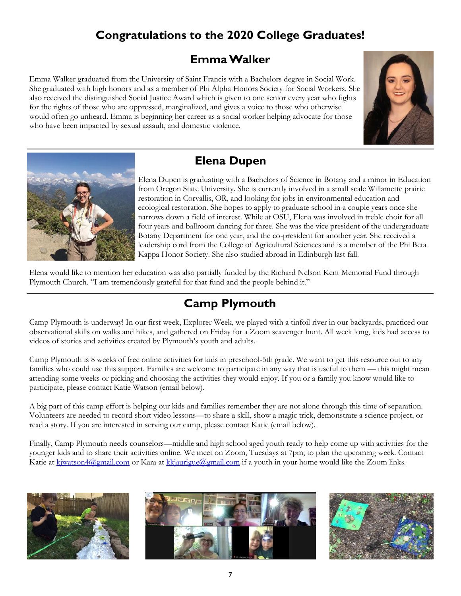#### **Congratulations to the 2020 College Graduates!**

#### **Emma Walker**

Emma Walker graduated from the University of Saint Francis with a Bachelors degree in Social Work. She graduated with high honors and as a member of Phi Alpha Honors Society for Social Workers. She also received the distinguished Social Justice Award which is given to one senior every year who fights for the rights of those who are oppressed, marginalized, and gives a voice to those who otherwise would often go unheard. Emma is beginning her career as a social worker helping advocate for those who have been impacted by sexual assault, and domestic violence.





#### **Elena Dupen**

Elena Dupen is graduating with a Bachelors of Science in Botany and a minor in Education from Oregon State University. She is currently involved in a small scale Willamette prairie restoration in Corvallis, OR, and looking for jobs in environmental education and ecological restoration. She hopes to apply to graduate school in a couple years once she narrows down a field of interest. While at OSU, Elena was involved in treble choir for all four years and ballroom dancing for three. She was the vice president of the undergraduate Botany Department for one year, and the co-president for another year. She received a leadership cord from the College of Agricultural Sciences and is a member of the Phi Beta Kappa Honor Society. She also studied abroad in Edinburgh last fall.

Elena would like to mention her education was also partially funded by the Richard Nelson Kent Memorial Fund through Plymouth Church. "I am tremendously grateful for that fund and the people behind it."

#### **Camp Plymouth**

Camp Plymouth is underway! In our first week, Explorer Week, we played with a tinfoil river in our backyards, practiced our observational skills on walks and hikes, and gathered on Friday for a Zoom scavenger hunt. All week long, kids had access to videos of stories and activities created by Plymouth's youth and adults.

Camp Plymouth is 8 weeks of free online activities for kids in preschool-5th grade. We want to get this resource out to any families who could use this support. Families are welcome to participate in any way that is useful to them — this might mean attending some weeks or picking and choosing the activities they would enjoy. If you or a family you know would like to participate, please contact Katie Watson (email below).

A big part of this camp effort is helping our kids and families remember they are not alone through this time of separation. Volunteers are needed to record short video lessons—to share a skill, show a magic trick, demonstrate a science project, or read a story. If you are interested in serving our camp, please contact Katie (email below).

Finally, Camp Plymouth needs counselors—middle and high school aged youth ready to help come up with activities for the younger kids and to share their activities online. We meet on Zoom, Tuesdays at 7pm, to plan the upcoming week. Contact Katie at [kjwatson4@gmail.com](mailto:kjwatson4@gmail.com) or Kara at [kkjaurigue@gmail.com](mailto:kkjaurigue@gmail.com) if a youth in your home would like the Zoom links.